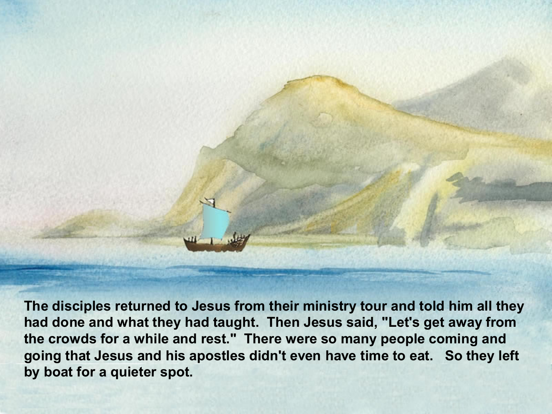

**The disciples returned to Jesus from their ministry tour and told him all they had done and what they had taught. Then Jesus said, "Let's get away from the crowds for a while and rest." There were so many people coming and going that Jesus and his apostles didn't even have time to eat. So they left by boat for a quieter spot.**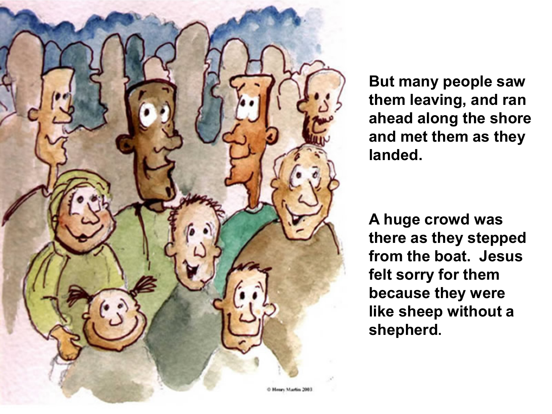

**But many people saw them leaving, and ran ahead along the shore and met them as they landed.**

**A huge crowd was there as they stepped from the boat. Jesus felt sorry for them because they were like sheep without a shepherd.**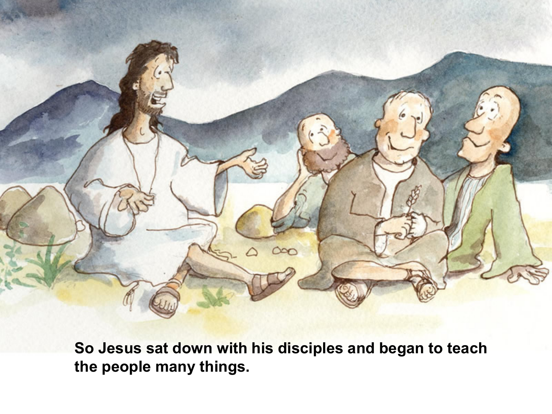

**So Jesus sat down with his disciples and began to teach the people many things.**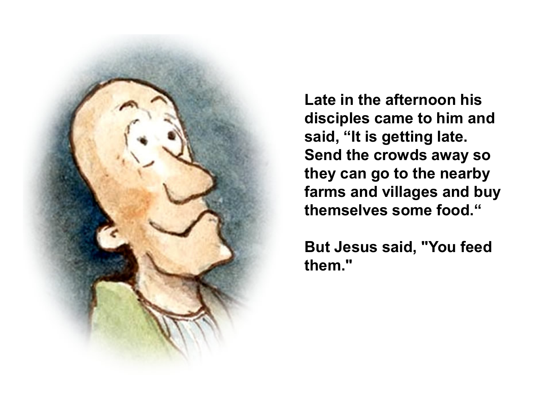

**Late in the afternoon his disciples came to him and said, "It is getting late. Send the crowds away so they can go to the nearby farms and villages and buy themselves some food."**

**But Jesus said, "You feed them."**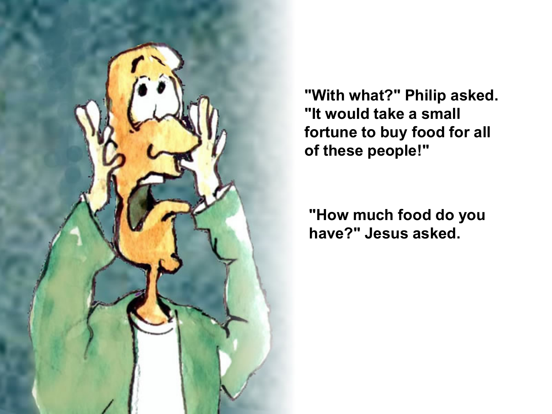

**"With what?" Philip asked. "It would take a small fortune to buy food for all of these people!"** 

**"How much food do you have?" Jesus asked.**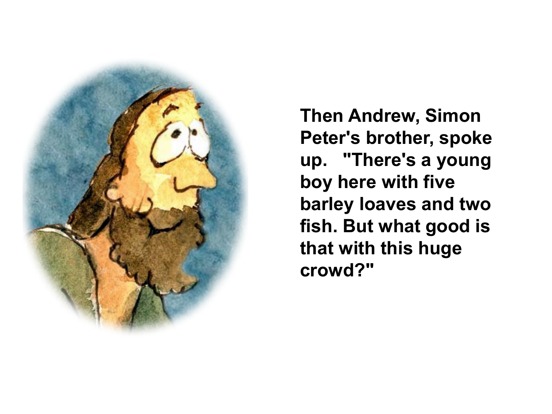

**Then Andrew, Simon Peter's brother, spoke up. "There's a young boy here with five barley loaves and two fish. But what good is that with this huge crowd?"**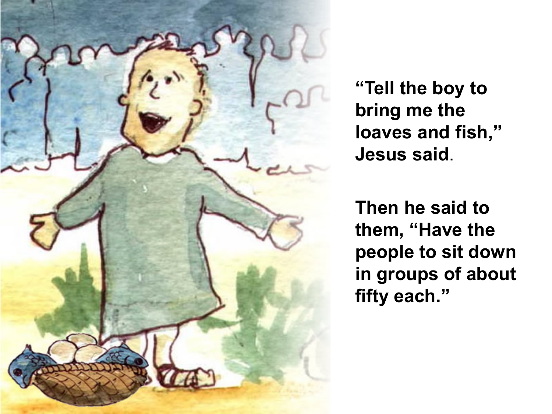

**"Tell the boy to bring me the loaves and fish," Jesus said**.

**Then he said to them, "Have the people to sit down in groups of about fifty each."**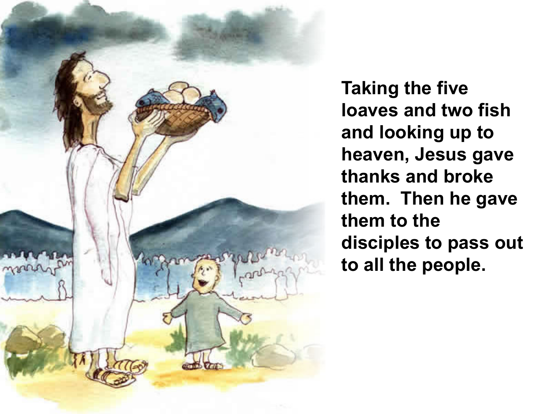

**Taking the five loaves and two fish and looking up to heaven, Jesus gave thanks and broke them. Then he gave them to the disciples to pass out to all the people.**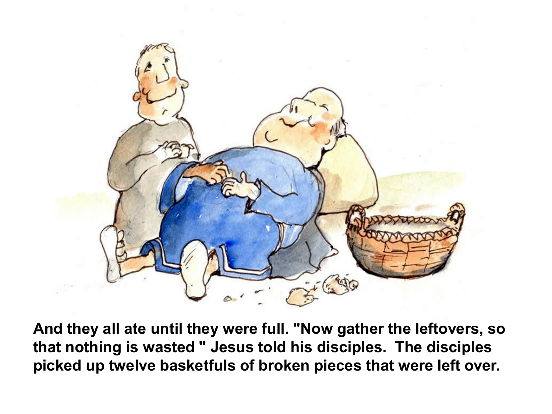

**And they all ate until they were full. "Now gather the leftovers, so that nothing is wasted " Jesus told his disciples. The disciples picked up twelve basketfuls of broken pieces that were left over.**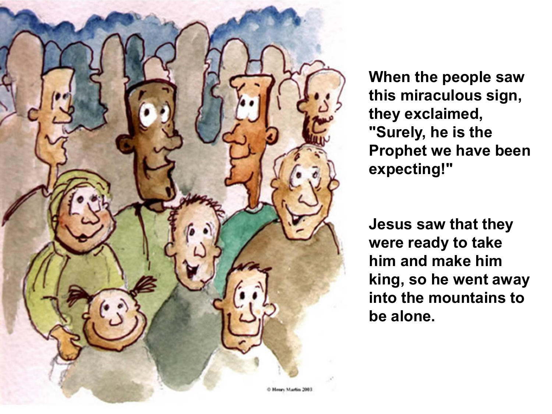

**When the people saw this miraculous sign, they exclaimed, "Surely, he is the Prophet we have been expecting!"** 

**Jesus saw that they were ready to take him and make him king, so he went away into the mountains to be alone.**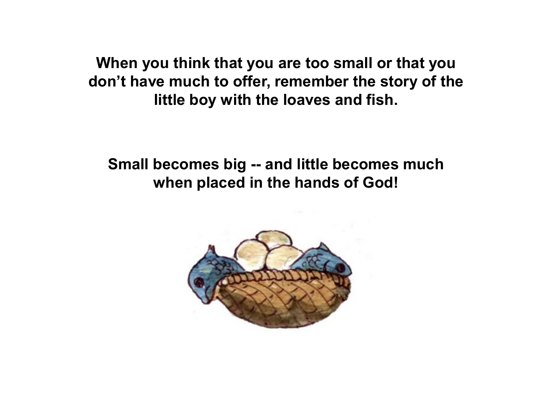**When you think that you are too small or that you don't have much to offer, remember the story of the little boy with the loaves and fish.**

## **Small becomes big -- and little becomes much when placed in the hands of God!**